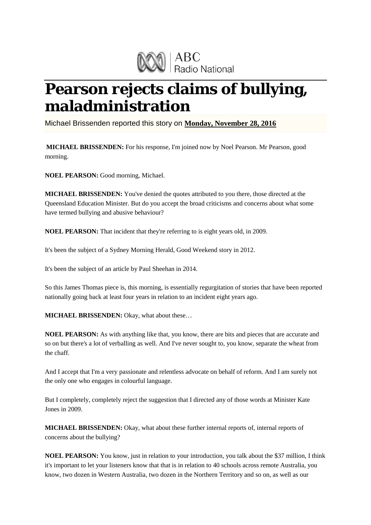

## **Pearson rejects claims of bullying, maladministration**

Michael Brissenden reported this story on **Monday, November 28, 2016**

**MICHAEL BRISSENDEN:** For his response, I'm joined now by Noel Pearson. Mr Pearson, good morning.

**NOEL PEARSON:** Good morning, Michael.

**MICHAEL BRISSENDEN:** You've denied the quotes attributed to you there, those directed at the Queensland Education Minister. But do you accept the broad criticisms and concerns about what some have termed bullying and abusive behaviour?

**NOEL PEARSON:** That incident that they're referring to is eight years old, in 2009.

It's been the subject of a Sydney Morning Herald, Good Weekend story in 2012.

It's been the subject of an article by Paul Sheehan in 2014.

So this James Thomas piece is, this morning, is essentially regurgitation of stories that have been reported nationally going back at least four years in relation to an incident eight years ago.

**MICHAEL BRISSENDEN:** Okay, what about these…

**NOEL PEARSON:** As with anything like that, you know, there are bits and pieces that are accurate and so on but there's a lot of verballing as well. And I've never sought to, you know, separate the wheat from the chaff.

And I accept that I'm a very passionate and relentless advocate on behalf of reform. And I am surely not the only one who engages in colourful language.

But I completely, completely reject the suggestion that I directed any of those words at Minister Kate Jones in 2009.

**MICHAEL BRISSENDEN:** Okay, what about these further internal reports of, internal reports of concerns about the bullying?

**NOEL PEARSON:** You know, just in relation to your introduction, you talk about the \$37 million, I think it's important to let your listeners know that that is in relation to 40 schools across remote Australia, you know, two dozen in Western Australia, two dozen in the Northern Territory and so on, as well as our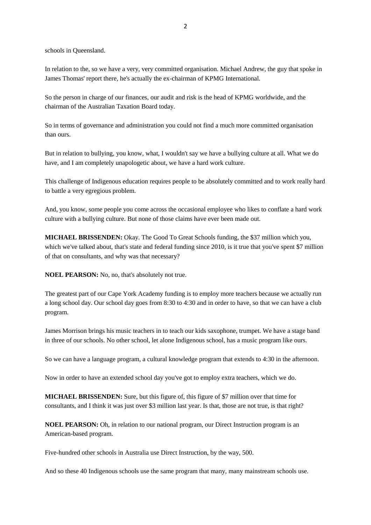schools in Queensland.

In relation to the, so we have a very, very committed organisation. Michael Andrew, the guy that spoke in James Thomas' report there, he's actually the ex-chairman of KPMG International.

So the person in charge of our finances, our audit and risk is the head of KPMG worldwide, and the chairman of the Australian Taxation Board today.

So in terms of governance and administration you could not find a much more committed organisation than ours.

But in relation to bullying, you know, what, I wouldn't say we have a bullying culture at all. What we do have, and I am completely unapologetic about, we have a hard work culture.

This challenge of Indigenous education requires people to be absolutely committed and to work really hard to battle a very egregious problem.

And, you know, some people you come across the occasional employee who likes to conflate a hard work culture with a bullying culture. But none of those claims have ever been made out.

**MICHAEL BRISSENDEN:** Okay. The Good To Great Schools funding, the \$37 million which you, which we've talked about, that's state and federal funding since 2010, is it true that you've spent \$7 million of that on consultants, and why was that necessary?

**NOEL PEARSON:** No, no, that's absolutely not true.

The greatest part of our Cape York Academy funding is to employ more teachers because we actually run a long school day. Our school day goes from 8:30 to 4:30 and in order to have, so that we can have a club program.

James Morrison brings his music teachers in to teach our kids saxophone, trumpet. We have a stage band in three of our schools. No other school, let alone Indigenous school, has a music program like ours.

So we can have a language program, a cultural knowledge program that extends to 4:30 in the afternoon.

Now in order to have an extended school day you've got to employ extra teachers, which we do.

**MICHAEL BRISSENDEN:** Sure, but this figure of, this figure of \$7 million over that time for consultants, and I think it was just over \$3 million last year. Is that, those are not true, is that right?

**NOEL PEARSON:** Oh, in relation to our national program, our Direct Instruction program is an American-based program.

Five-hundred other schools in Australia use Direct Instruction, by the way, 500.

And so these 40 Indigenous schools use the same program that many, many mainstream schools use.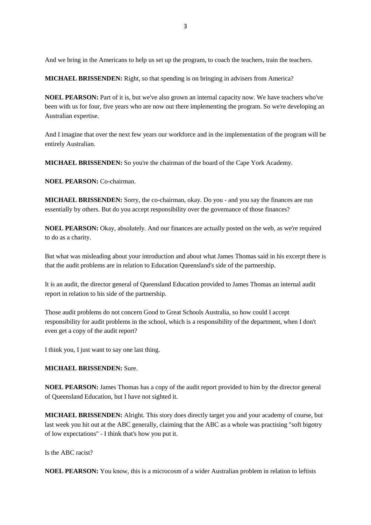And we bring in the Americans to help us set up the program, to coach the teachers, train the teachers.

**MICHAEL BRISSENDEN:** Right, so that spending is on bringing in advisers from America?

**NOEL PEARSON:** Part of it is, but we've also grown an internal capacity now. We have teachers who've been with us for four, five years who are now out there implementing the program. So we're developing an Australian expertise.

And I imagine that over the next few years our workforce and in the implementation of the program will be entirely Australian.

**MICHAEL BRISSENDEN:** So you're the chairman of the board of the Cape York Academy.

**NOEL PEARSON:** Co-chairman.

**MICHAEL BRISSENDEN:** Sorry, the co-chairman, okay. Do you - and you say the finances are run essentially by others. But do you accept responsibility over the governance of those finances?

**NOEL PEARSON:** Okay, absolutely. And our finances are actually posted on the web, as we're required to do as a charity.

But what was misleading about your introduction and about what James Thomas said in his excerpt there is that the audit problems are in relation to Education Queensland's side of the partnership.

It is an audit, the director general of Queensland Education provided to James Thomas an internal audit report in relation to his side of the partnership.

Those audit problems do not concern Good to Great Schools Australia, so how could I accept responsibility for audit problems in the school, which is a responsibility of the department, when I don't even get a copy of the audit report?

I think you, I just want to say one last thing.

## **MICHAEL BRISSENDEN:** Sure.

**NOEL PEARSON:** James Thomas has a copy of the audit report provided to him by the director general of Queensland Education, but I have not sighted it.

**MICHAEL BRISSENDEN:** Alright. This story does directly target you and your academy of course, but last week you hit out at the ABC generally, claiming that the ABC as a whole was practising "soft bigotry of low expectations" - I think that's how you put it.

Is the ABC racist?

**NOEL PEARSON:** You know, this is a microcosm of a wider Australian problem in relation to leftists